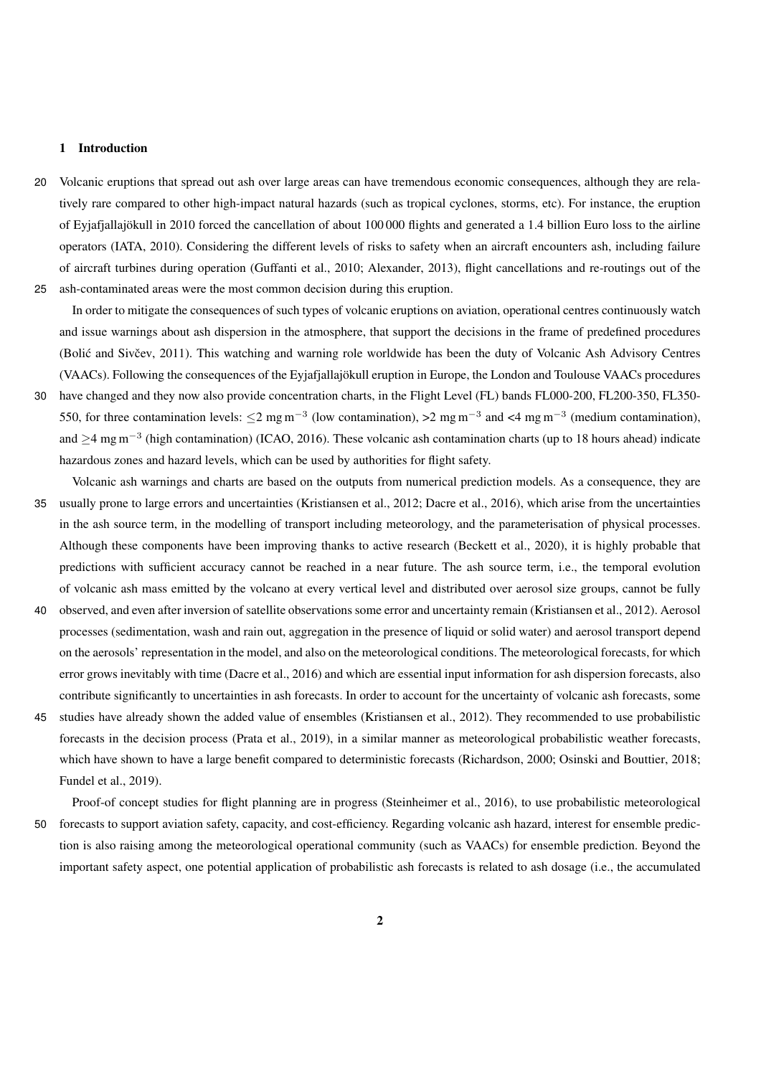## 1 Introduction

20 Volcanic eruptions that spread out ash over large areas can have tremendous economic consequences, although they are relatively rare compared to other high-impact natural hazards (such as tropical cyclones, storms, etc). For instance, the eruption of Eyjafjallajökull in 2010 forced the cancellation of about 100 000 flights and generated a 1.4 billion Euro loss to the airline operators (IATA, 2010). Considering the different levels of risks to safety when an aircraft encounters ash, including failure of aircraft turbines during operation (Guffanti et al., 2010; Alexander, 2013), flight cancellations and re-routings out of the 25 ash-contaminated areas were the most common decision during this eruption.

In order to mitigate the consequences of such types of volcanic eruptions on aviation, operational centres continuously watch and issue warnings about ash dispersion in the atmosphere, that support the decisions in the frame of predefined procedures (Bolić and Sivčev, 2011). This watching and warning role worldwide has been the duty of Volcanic Ash Advisory Centres (VAACs). Following the consequences of the Eyjafjallajökull eruption in Europe, the London and Toulouse VAACs procedures

- 30 have changed and they now also provide concentration charts, in the Flight Level (FL) bands FL000-200, FL200-350, FL350- 550, for three contamination levels:  $\leq$ 2 mg m<sup>-3</sup> (low contamination), >2 mg m<sup>-3</sup> and <4 mg m<sup>-3</sup> (medium contamination), and  $>4$  mg m<sup>-3</sup> (high contamination) (ICAO, 2016). These volcanic ash contamination charts (up to 18 hours ahead) indicate hazardous zones and hazard levels, which can be used by authorities for flight safety.
- Volcanic ash warnings and charts are based on the outputs from numerical prediction models. As a consequence, they are 35 usually prone to large errors and uncertainties (Kristiansen et al., 2012; Dacre et al., 2016), which arise from the uncertainties in the ash source term, in the modelling of transport including meteorology, and the parameterisation of physical processes. Although these components have been improving thanks to active research (Beckett et al., 2020), it is highly probable that predictions with sufficient accuracy cannot be reached in a near future. The ash source term, i.e., the temporal evolution of volcanic ash mass emitted by the volcano at every vertical level and distributed over aerosol size groups, cannot be fully
- 40 observed, and even after inversion of satellite observations some error and uncertainty remain (Kristiansen et al., 2012). Aerosol processes (sedimentation, wash and rain out, aggregation in the presence of liquid or solid water) and aerosol transport depend on the aerosols' representation in the model, and also on the meteorological conditions. The meteorological forecasts, for which error grows inevitably with time (Dacre et al., 2016) and which are essential input information for ash dispersion forecasts, also contribute significantly to uncertainties in ash forecasts. In order to account for the uncertainty of volcanic ash forecasts, some
- 45 studies have already shown the added value of ensembles (Kristiansen et al., 2012). They recommended to use probabilistic forecasts in the decision process (Prata et al., 2019), in a similar manner as meteorological probabilistic weather forecasts, which have shown to have a large benefit compared to deterministic forecasts (Richardson, 2000; Osinski and Bouttier, 2018; Fundel et al., 2019).
- Proof-of concept studies for flight planning are in progress (Steinheimer et al., 2016), to use probabilistic meteorological 50 forecasts to support aviation safety, capacity, and cost-efficiency. Regarding volcanic ash hazard, interest for ensemble prediction is also raising among the meteorological operational community (such as VAACs) for ensemble prediction. Beyond the important safety aspect, one potential application of probabilistic ash forecasts is related to ash dosage (i.e., the accumulated